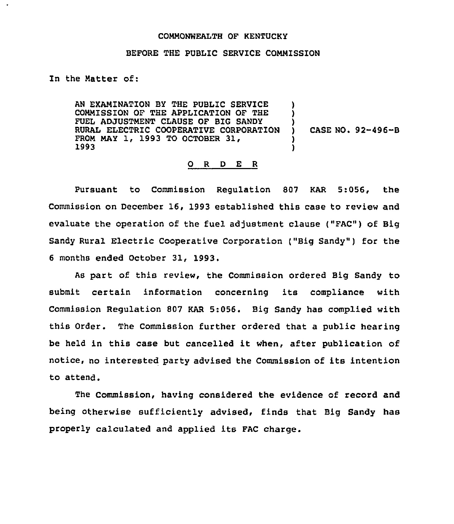## COMMONWEALTH OF KENTUCKY

## BEFORE THE PUBLIC SERVICE COMMISSION

## In the Natter of:

AN EXAMINATION BY THE PUBLIC SERVICE COMMISSION OF THE APPLICATION OF THE FUEL ADJUSTMENT CLAUSE OF BIG SANDY RURAL ELECTRIC COOPERATIVE CORPORATION FROM MAY 1, 1993 TO OCTOBER 31, 1993 ) ) ) ) )

) CASE NO. 92-496-B

## 0 R <sup>D</sup> E R

Pursuant to Commission Regulation 807 KAR 5:056, the Commission on December 16, 1993 established this case to review and evaluate the operation of the fuel adjustment clause ("FAC") of Big Sandy Rural Electric Cooperative Corporation ("Big Sandy") for the <sup>6</sup> months ended October 31, 1993.

As part of this review, the Commission ordered Big Sandy to submit certain information concerning its compliance with Commission Regulation 807 KAR 5:056. Big Sandy has complied with this Order. The Commission further ordered that a public hearing be held in this case but cancelled it when, after publication of notice, no interested party advised the Commission of its intention to attend.

The Commission, having considered the evidence of record and being otherwise sufficiently advised, finds that Big Sandy has properly calculated and applied its FAC charge.